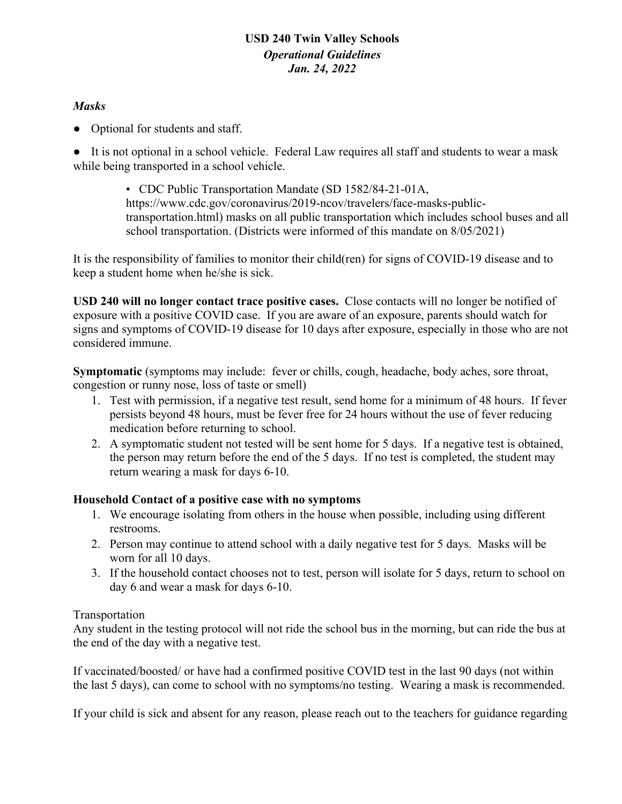## **USD 240 Twin Valley Schools** *Operational Guidelines Jan. 24, 2022*

## *Masks*

● Optional for students and staff.

● It is not optional in a school vehicle. Federal Law requires all staff and students to wear a mask while being transported in a school vehicle.

> • CDC Public Transportation Mandate (SD 1582/84-21-01A, https://www.cdc.gov/coronavirus/2019-ncov/travelers/face-masks-publictransportation.html) masks on all public transportation which includes school buses and all school transportation. (Districts were informed of this mandate on 8/05/2021)

It is the responsibility of families to monitor their child(ren) for signs of COVID-19 disease and to keep a student home when he/she is sick.

**USD 240 will no longer contact trace positive cases.** Close contacts will no longer be notified of exposure with a positive COVID case. If you are aware of an exposure, parents should watch for signs and symptoms of COVID-19 disease for 10 days after exposure, especially in those who are not considered immune.

**Symptomatic** (symptoms may include: fever or chills, cough, headache, body aches, sore throat, congestion or runny nose, loss of taste or smell)

- 1. Test with permission, if a negative test result, send home for a minimum of 48 hours. If fever persists beyond 48 hours, must be fever free for 24 hours without the use of fever reducing medication before returning to school.
- 2. A symptomatic student not tested will be sent home for 5 days. If a negative test is obtained, the person may return before the end of the 5 days. If no test is completed, the student may return wearing a mask for days 6-10.

## **Household Contact of a positive case with no symptoms**

- 1. We encourage isolating from others in the house when possible, including using different restrooms.
- 2. Person may continue to attend school with a daily negative test for 5 days. Masks will be worn for all 10 days.
- 3. If the household contact chooses not to test, person will isolate for 5 days, return to school on day 6 and wear a mask for days 6-10.

## Transportation

Any student in the testing protocol will not ride the school bus in the morning, but can ride the bus at the end of the day with a negative test.

If vaccinated/boosted/ or have had a confirmed positive COVID test in the last 90 days (not within the last 5 days), can come to school with no symptoms/no testing. Wearing a mask is recommended.

If your child is sick and absent for any reason, please reach out to the teachers for guidance regarding